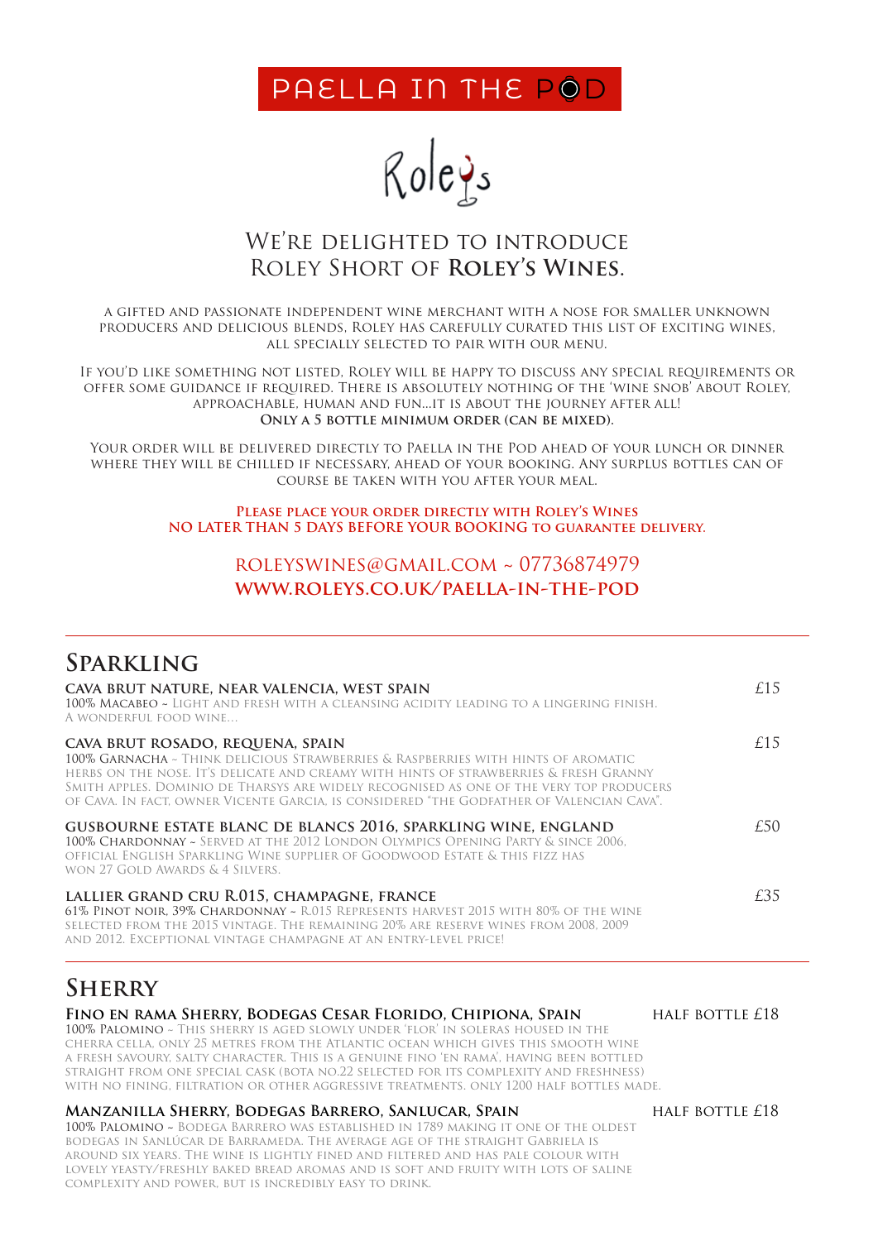PAELLA IN THE POD



### We're delighted to introduce Roley Short of **Roley's Wines**.

a gifted and passionate independent wine merchant with a nose for smaller unknown producers and delicious blends, Roley has carefully curated this list of exciting wines, all specially selected to pair with our menu.

If you'd like something not listed, Roley will be happy to discuss any special requirements or offer some guidance if required. There is absolutely nothing of the 'wine snob' about Roley, approachable, human and fun...it is about the journey after all! **Only a 5 bottle minimum order (can be mixed).**

Your order will be delivered directly to Paella in the Pod ahead of your lunch or dinner where they will be chilled if necessary, ahead of your booking. Any surplus bottles can of course be taken with you after your meal.

#### **Please place your order directly with Roley's Wines NO LATER THAN 5 DAYS BEFORE YOUR BOOKING to guarantee delivery.**

#### roleyswines@gmail.com ~ 07736874979 **www.roleys.co.uk/paella-in-the-pod**

# **Sparkling**

| CAVA BRUT NATURE, NEAR VALENCIA, WEST SPAIN<br>100% Macabeo ~ Light and fresh with a cleansing acidity leading to a lingering finish.<br>A WONDERFUL FOOD WINE                                                                                                                                                                                                                                        |     |
|-------------------------------------------------------------------------------------------------------------------------------------------------------------------------------------------------------------------------------------------------------------------------------------------------------------------------------------------------------------------------------------------------------|-----|
| CAVA BRUT ROSADO, REQUENA, SPAIN<br>100% GARNACHA ~ THINK DELICIOUS STRAWBERRIES & RASPBERRIES WITH HINTS OF AROMATIC<br>HERBS ON THE NOSE. IT'S DELICATE AND CREAMY WITH HINTS OF STRAWBERRIES & FRESH GRANNY<br>SMITH APPLES. DOMINIO DE THARSYS ARE WIDELY RECOGNISED AS ONE OF THE VERY TOP PRODUCERS<br>of Cava. In fact, owner Vicente Garcia, is considered "the Godfather of Valencian Cava". | £15 |
| <b>GUSBOURNE ESTATE BLANC DE BLANCS 2016, SPARKLING WINE, ENGLAND</b><br>100% CHARDONNAY ~ SERVED AT THE 2012 LONDON OLYMPICS OPENING PARTY & SINCE 2006,<br>OFFICIAL ENGLISH SPARKLING WINE SUPPLIER OF GOODWOOD ESTATE & THIS FIZZ HAS<br>WON 27 GOLD AWARDS & 4 SILVERS.                                                                                                                           | £50 |
| LALLIER GRAND CRU R.015, CHAMPAGNE, FRANCE<br>61% PINOT NOIR, 39% CHARDONNAY ~ R.015 REPRESENTS HARVEST 2015 WITH 80% OF THE WINE<br>selected from the 2015 vintage. The remaining 20% are reserve wines from 2008, 2009<br>and 2012. Exceptional vintage champagne at an entry-level price!                                                                                                          | £35 |

# **Sherry**

| FINO EN RAMA SHERRY, BODEGAS CESAR FLORIDO, CHIPIONA, SPAIN                             | HALF BOTTLE £18 |
|-----------------------------------------------------------------------------------------|-----------------|
| 100% PALOMINO ~ THIS SHERRY IS AGED SLOWLY UNDER 'FLOR' IN SOLERAS HOUSED IN THE        |                 |
| CHERRA CELLA, ONLY 25 METRES FROM THE ATLANTIC OCEAN WHICH GIVES THIS SMOOTH WINE       |                 |
| A FRESH SAVOURY, SALTY CHARACTER. THIS IS A GENUINE FINO 'EN RAMA'. HAVING BEEN BOTTLED |                 |
| STRAIGHT FROM ONE SPECIAL CASK (BOTA NO.22 SELECTED FOR ITS COMPLEXITY AND FRESHNESS)   |                 |
| with no fining. Filtration or other aggressive treatments, only 1200 half bottles made. |                 |
|                                                                                         | ---             |

#### **Manzanilla Sherry, Bodegas Barrero, Sanlucar, Spain** half bottle £18

100% Palomino ~ Bodega Barrero was established in 1789 making it one of the oldest bodegas in Sanlúcar de Barrameda. The average age of the straight Gabriela is around six years. The wine is lightly fined and filtered and has pale colour with lovely yeasty/freshly baked bread aromas and is soft and fruity with lots of saline complexity and power, but is incredibly easy to drink.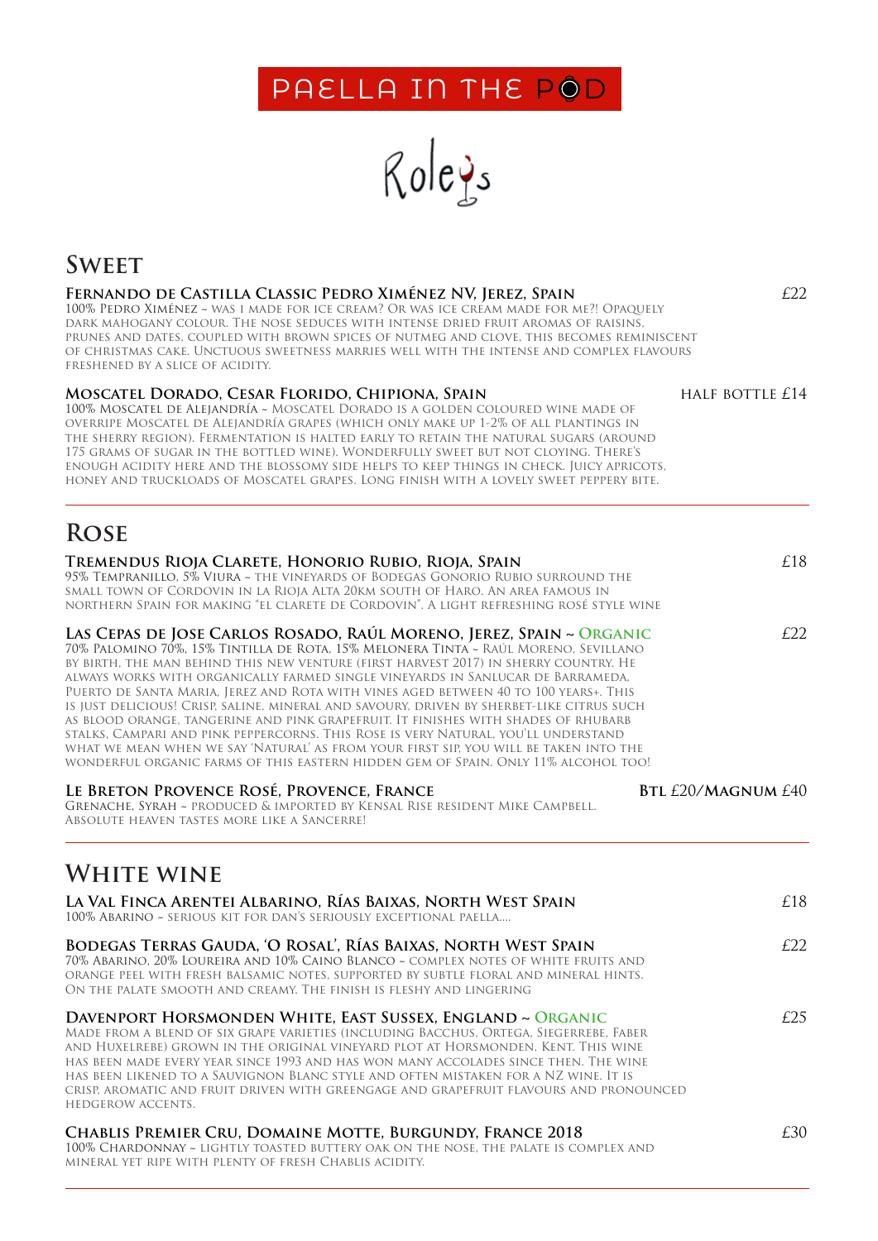# PAELLA IN THE POD



# **Sweet**

#### **Fernando de Castilla Classic Pedro Ximénez NV, Jerez, Spain**  £22

100% Pedro Ximénez ~ was i made for ice cream? Or was ice cream made for me?! Opaquely dark mahogany colour. The nose seduces with intense dried fruit aromas of raisins, prunes and dates, coupled with brown spices of nutmeg and clove, this becomes reminiscent of christmas cake. Unctuous sweetness marries well with the intense and complex flavours freshened by a slice of acidity.

#### **Moscatel Dorado, Cesar Florido, Chipiona, Spain** half bottle £14

100% Moscatel de Alejandría ~ Moscatel Dorado is a golden coloured wine made of overripe Moscatel de Alejandría grapes (which only make up 1-2% of all plantings in the sherry region). Fermentation is halted early to retain the natural sugars (around 175 grams of sugar in the bottled wine). Wonderfully sweet but not cloying. There's enough acidity here and the blossomy side helps to keep things in check. Juicy apricots, honey and truckloads of Moscatel grapes. Long finish with a lovely sweet peppery bite.

# **Rose**

| TREMENDUS RIOJA CLARETE, HONORIO RUBIO, RIOJA, SPAIN<br>95% TEMPRANILLO, 5% VIURA ~ THE VINEYARDS OF BODEGAS GONORIO RUBIO SURROUND THE<br>small town of Cordovin in la Rioja Alta 20km south of Haro. An area famous in<br>NORTHERN SPAIN FOR MAKING "EL CLARETE DE CORDOVIN". A LIGHT REFRESHING ROSÉ STYLE WINE                                                                                                                                                                                                                                                                                                                                                                                                                                                                                                                                                                     | £18 |
|----------------------------------------------------------------------------------------------------------------------------------------------------------------------------------------------------------------------------------------------------------------------------------------------------------------------------------------------------------------------------------------------------------------------------------------------------------------------------------------------------------------------------------------------------------------------------------------------------------------------------------------------------------------------------------------------------------------------------------------------------------------------------------------------------------------------------------------------------------------------------------------|-----|
| LAS CEPAS DE JOSE CARLOS ROSADO, RAÚL MORENO, JEREZ, SPAIN ~ ORGANIC<br>70% Palomino 70%. 15% Tintilla de Rota. 15% Melonera Tinta ~ Raúl Moreno. Sevillano<br>BY BIRTH. THE MAN BEHIND THIS NEW VENTURE (FIRST HARVEST 2017) IN SHERRY COUNTRY. HE<br>ALWAYS WORKS WITH ORGANICALLY FARMED SINGLE VINEYARDS IN SANLUCAR DE BARRAMEDA,<br>PUERTO DE SANTA MARIA, JEREZ AND ROTA WITH VINES AGED BETWEEN 40 TO 100 YEARS+. THIS<br>IS JUST DELICIOUS! CRISP, SALINE, MINERAL AND SAVOURY, DRIVEN BY SHERBET-LIKE CITRUS SUCH<br>AS BLOOD ORANGE. TANGERINE AND PINK GRAPEFRUIT. IT FINISHES WITH SHADES OF RHUBARB<br>STALKS, CAMPARI AND PINK PEPPERCORNS. THIS ROSE IS VERY NATURAL, YOU'LL UNDERSTAND<br>WHAT WE MEAN WHEN WE SAY 'NATURAL' AS FROM YOUR FIRST SIP, YOU WILL BE TAKEN INTO THE<br>WONDERFUL ORGANIC FARMS OF THIS EASTERN HIDDEN GEM OF SPAIN. ONLY 11% ALCOHOL TOO! | E22 |
| LE BRETON PROVENCE ROSÉ, PROVENCE, FRANCE<br><b>BTL £20/MAGNUM £40</b><br>GRENACHE, SYRAH ~ PRODUCED & IMPORTED BY KENSAL RISE RESIDENT MIKE CAMPBELL.<br>ABSOLUTE HEAVEN TASTES MORE LIKE A SANCERRE!                                                                                                                                                                                                                                                                                                                                                                                                                                                                                                                                                                                                                                                                                 |     |
| <b>WHITE WINE</b>                                                                                                                                                                                                                                                                                                                                                                                                                                                                                                                                                                                                                                                                                                                                                                                                                                                                      |     |
| LA VAL FINCA ARENTEI ALBARINO, RÍAS BAIXAS, NORTH WEST SPAIN<br>100% ABARINO ~ SERIOUS KIT FOR DAN'S SERIOUSLY EXCEPTIONAL PAELLA                                                                                                                                                                                                                                                                                                                                                                                                                                                                                                                                                                                                                                                                                                                                                      | £18 |
| BODEGAS TERRAS GAUDA, 'O ROSAL', RÍAS BAIXAS, NORTH WEST SPAIN<br>70% Abarino. 20% Loureira and 10% Caino Blanco ~ complex notes of white fruits and<br>ORANGE PEEL WITH FRESH BALSAMIC NOTES. SUPPORTED BY SUBTLE FLORAL AND MINERAL HINTS.<br>ON THE PALATE SMOOTH AND CREAMY. THE FINISH IS FLESHY AND LINGERING                                                                                                                                                                                                                                                                                                                                                                                                                                                                                                                                                                    | E22 |
| DAVENPORT HORSMONDEN WHITE, EAST SUSSEX, ENGLAND ~ ORGANIC<br>MADE FROM A BLEND OF SIX GRAPE VARIETIES (INCLUDING BACCHUS, ORTEGA, SIEGERREBE, FABER<br>and Huxelrebe) grown in the original vineyard plot at Horsmonden. Kent. This wine<br>has been made every year since 1993 and has won many accolades since then. The wine<br>has been likened to a Sauvignon Blanc style and often mistaken for a NZ wine. It is<br>CRISP. AROMATIC AND FRUIT DRIVEN WITH GREENGAGE AND GRAPEFRUIT FLAVOURS AND PRONOUNCED<br>HEDGEROW ACCENTS.                                                                                                                                                                                                                                                                                                                                                 | £25 |
| CHABLIS PREMIER CRU, DOMAINE MOTTE, BURGUNDY, FRANCE 2018<br>100% CHARDONNAY ~ LIGHTLY TOASTED BUTTERY OAK ON THE NOSE, THE PALATE IS COMPLEX AND<br>MINERAL YET RIPE WITH PLENTY OF FRESH CHABLIS ACIDITY.                                                                                                                                                                                                                                                                                                                                                                                                                                                                                                                                                                                                                                                                            | £30 |